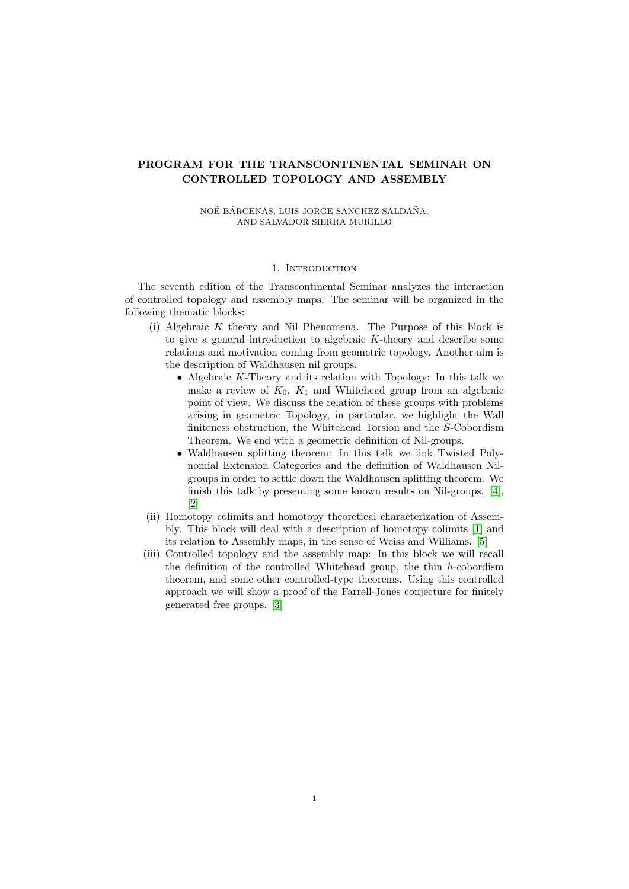## PROGRAM FOR THE TRANSCONTINENTAL SEMINAR ON CONTROLLED TOPOLOGY AND ASSEMBLY

## NOÉ BÁRCENAS, LUIS JORGE SANCHEZ SALDAÑA, AND SALVADOR SIERRA MURILLO

## 1. INTRODUCTION

The seventh edition of the Transcontinental Seminar analyzes the interaction of controlled topology and assembly maps. The seminar will be organized in the following thematic blocks:

- (i) Algebraic  $K$  theory and Nil Phenomena. The Purpose of this block is to give a general introduction to algebraic K-theory and describe some relations and motivation coming from geometric topology. Another aim is the description of Waldhausen nil groups.
	- Algebraic  $K$ -Theory and its relation with Topology: In this talk we make a review of  $K_0$ ,  $K_1$  and Whitehead group from an algebraic point of view. We discuss the relation of these groups with problems arising in geometric Topology, in particular, we highlight the Wall finiteness obstruction, the Whitehead Torsion and the S-Cobordism Theorem. We end with a geometric definition of Nil-groups.
	- Waldhausen splitting theorem: In this talk we link Twisted Polynomial Extension Categories and the definition of Waldhausen Nilgroups in order to settle down the Waldhausen splitting theorem. We finish this talk by presenting some known results on Nil-groups. [\[4\]](#page-1-0), [\[2\]](#page-1-1)
- (ii) Homotopy colimits and homotopy theoretical characterization of Assembly. This block will deal with a description of homotopy colimits [\[1\]](#page-1-2) and its relation to Assembly maps, in the sense of Weiss and Williams. [\[5\]](#page-1-3)
- (iii) Controlled topology and the assembly map: In this block we will recall the definition of the controlled Whitehead group, the thin h-cobordism theorem, and some other controlled-type theorems. Using this controlled approach we will show a proof of the Farrell-Jones conjecture for finitely generated free groups. [\[3\]](#page-1-4)